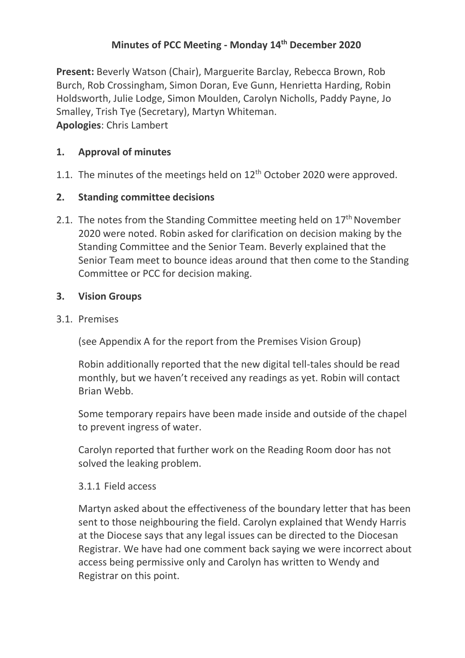# **Minutes of PCC Meeting - Monday 14 th December 2020**

**Present:** Beverly Watson (Chair), Marguerite Barclay, Rebecca Brown, Rob Burch, Rob Crossingham, Simon Doran, Eve Gunn, Henrietta Harding, Robin Holdsworth, Julie Lodge, Simon Moulden, Carolyn Nicholls, Paddy Payne, Jo Smalley, Trish Tye (Secretary), Martyn Whiteman. **Apologies**: Chris Lambert

## **1. Approval of minutes**

1.1. The minutes of the meetings held on  $12<sup>th</sup>$  October 2020 were approved.

## **2. Standing committee decisions**

2.1. The notes from the Standing Committee meeting held on  $17<sup>th</sup>$  November 2020 were noted. Robin asked for clarification on decision making by the Standing Committee and the Senior Team. Beverly explained that the Senior Team meet to bounce ideas around that then come to the Standing Committee or PCC for decision making.

## **3. Vision Groups**

#### 3.1. Premises

(see Appendix A for the report from the Premises Vision Group)

Robin additionally reported that the new digital tell-tales should be read monthly, but we haven't received any readings as yet. Robin will contact Brian Webb.

Some temporary repairs have been made inside and outside of the chapel to prevent ingress of water.

Carolyn reported that further work on the Reading Room door has not solved the leaking problem.

#### 3.1.1 Field access

Martyn asked about the effectiveness of the boundary letter that has been sent to those neighbouring the field. Carolyn explained that Wendy Harris at the Diocese says that any legal issues can be directed to the Diocesan Registrar. We have had one comment back saying we were incorrect about access being permissive only and Carolyn has written to Wendy and Registrar on this point.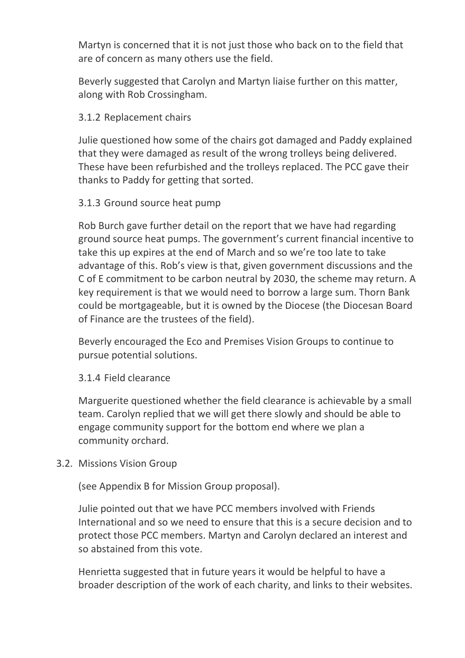Martyn is concerned that it is not just those who back on to the field that are of concern as many others use the field.

Beverly suggested that Carolyn and Martyn liaise further on this matter, along with Rob Crossingham.

## 3.1.2 Replacement chairs

Julie questioned how some of the chairs got damaged and Paddy explained that they were damaged as result of the wrong trolleys being delivered. These have been refurbished and the trolleys replaced. The PCC gave their thanks to Paddy for getting that sorted.

## 3.1.3 Ground source heat pump

Rob Burch gave further detail on the report that we have had regarding ground source heat pumps. The government's current financial incentive to take this up expires at the end of March and so we're too late to take advantage of this. Rob's view is that, given government discussions and the C of E commitment to be carbon neutral by 2030, the scheme may return. A key requirement is that we would need to borrow a large sum. Thorn Bank could be mortgageable, but it is owned by the Diocese (the Diocesan Board of Finance are the trustees of the field).

Beverly encouraged the Eco and Premises Vision Groups to continue to pursue potential solutions.

#### 3.1.4 Field clearance

Marguerite questioned whether the field clearance is achievable by a small team. Carolyn replied that we will get there slowly and should be able to engage community support for the bottom end where we plan a community orchard.

#### 3.2. Missions Vision Group

(see Appendix B for Mission Group proposal).

Julie pointed out that we have PCC members involved with Friends International and so we need to ensure that this is a secure decision and to protect those PCC members. Martyn and Carolyn declared an interest and so abstained from this vote.

Henrietta suggested that in future years it would be helpful to have a broader description of the work of each charity, and links to their websites.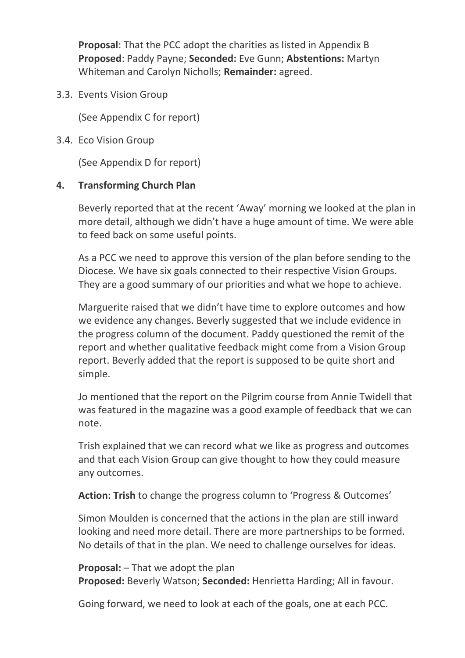**Proposal**: That the PCC adopt the charities as listed in Appendix B **Proposed**: Paddy Payne; **Seconded:** Eve Gunn; **Abstentions:** Martyn Whiteman and Carolyn Nicholls; **Remainder:** agreed.

3.3. Events Vision Group

(See Appendix C for report)

3.4. Eco Vision Group

(See Appendix D for report)

## **4. Transforming Church Plan**

Beverly reported that at the recent 'Away' morning we looked at the plan in more detail, although we didn't have a huge amount of time. We were able to feed back on some useful points.

As a PCC we need to approve this version of the plan before sending to the Diocese. We have six goals connected to their respective Vision Groups. They are a good summary of our priorities and what we hope to achieve.

Marguerite raised that we didn't have time to explore outcomes and how we evidence any changes. Beverly suggested that we include evidence in the progress column of the document. Paddy questioned the remit of the report and whether qualitative feedback might come from a Vision Group report. Beverly added that the report is supposed to be quite short and simple.

Jo mentioned that the report on the Pilgrim course from Annie Twidell that was featured in the magazine was a good example of feedback that we can note.

Trish explained that we can record what we like as progress and outcomes and that each Vision Group can give thought to how they could measure any outcomes.

**Action: Trish** to change the progress column to 'Progress & Outcomes'

Simon Moulden is concerned that the actions in the plan are still inward looking and need more detail. There are more partnerships to be formed. No details of that in the plan. We need to challenge ourselves for ideas.

**Proposal:** – That we adopt the plan **Proposed:** Beverly Watson; **Seconded:** Henrietta Harding; All in favour.

Going forward, we need to look at each of the goals, one at each PCC.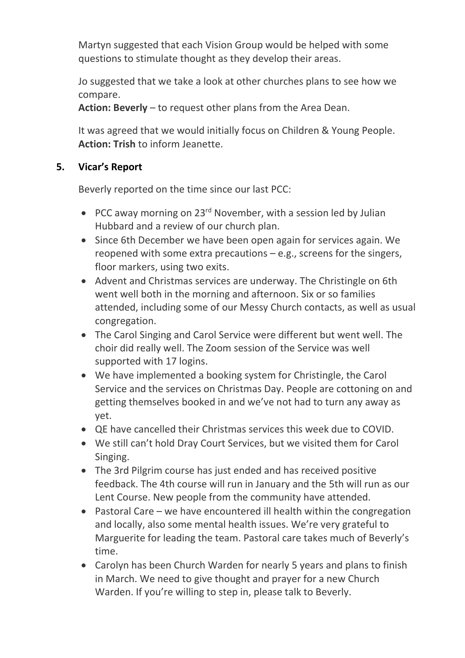Martyn suggested that each Vision Group would be helped with some questions to stimulate thought as they develop their areas.

Jo suggested that we take a look at other churches plans to see how we compare.

**Action: Beverly** – to request other plans from the Area Dean.

It was agreed that we would initially focus on Children & Young People. **Action: Trish** to inform Jeanette.

## **5. Vicar's Report**

Beverly reported on the time since our last PCC:

- PCC away morning on  $23^{rd}$  November, with a session led by Julian Hubbard and a review of our church plan.
- Since 6th December we have been open again for services again. We reopened with some extra precautions  $-e.g.,$  screens for the singers, floor markers, using two exits.
- Advent and Christmas services are underway. The Christingle on 6th went well both in the morning and afternoon. Six or so families attended, including some of our Messy Church contacts, as well as usual congregation.
- The Carol Singing and Carol Service were different but went well. The choir did really well. The Zoom session of the Service was well supported with 17 logins.
- We have implemented a booking system for Christingle, the Carol Service and the services on Christmas Day. People are cottoning on and getting themselves booked in and we've not had to turn any away as yet.
- QE have cancelled their Christmas services this week due to COVID.
- We still can't hold Dray Court Services, but we visited them for Carol Singing.
- The 3rd Pilgrim course has just ended and has received positive feedback. The 4th course will run in January and the 5th will run as our Lent Course. New people from the community have attended.
- Pastoral Care we have encountered ill health within the congregation and locally, also some mental health issues. We're very grateful to Marguerite for leading the team. Pastoral care takes much of Beverly's time.
- Carolyn has been Church Warden for nearly 5 years and plans to finish in March. We need to give thought and prayer for a new Church Warden. If you're willing to step in, please talk to Beverly.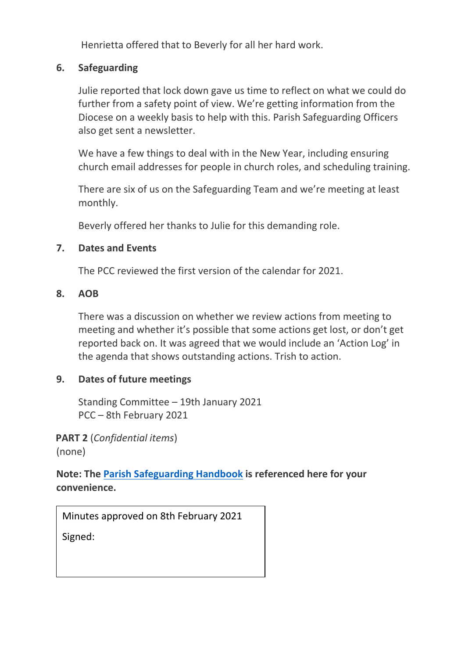Henrietta offered that to Beverly for all her hard work.

## **6. Safeguarding**

Julie reported that lock down gave us time to reflect on what we could do further from a safety point of view. We're getting information from the Diocese on a weekly basis to help with this. Parish Safeguarding Officers also get sent a newsletter.

We have a few things to deal with in the New Year, including ensuring church email addresses for people in church roles, and scheduling training.

There are six of us on the Safeguarding Team and we're meeting at least monthly.

Beverly offered her thanks to Julie for this demanding role.

#### **7. Dates and Events**

The PCC reviewed the first version of the calendar for 2021.

## **8. AOB**

There was a discussion on whether we review actions from meeting to meeting and whether it's possible that some actions get lost, or don't get reported back on. It was agreed that we would include an 'Action Log' in the agenda that shows outstanding actions. Trish to action.

# **9. Dates of future meetings**

Standing Committee – 19th January 2021 PCC – 8th February 2021

**PART 2** (*Confidential items*) (none)

**Note: The [Parish Safeguarding Handbook](https://www.churchofengland.org/sites/default/files/2019-03/Parish%20Safeguarding%20Handbook%20March%202019.pdf) is referenced here for your convenience.**

Minutes approved on 8th February 2021

Signed: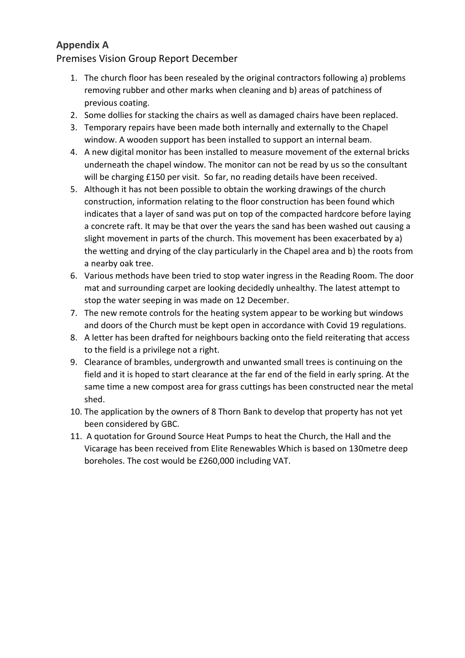## **Appendix A**

Premises Vision Group Report December

- 1. The church floor has been resealed by the original contractors following a) problems removing rubber and other marks when cleaning and b) areas of patchiness of previous coating.
- 2. Some dollies for stacking the chairs as well as damaged chairs have been replaced.
- 3. Temporary repairs have been made both internally and externally to the Chapel window. A wooden support has been installed to support an internal beam.
- 4. A new digital monitor has been installed to measure movement of the external bricks underneath the chapel window. The monitor can not be read by us so the consultant will be charging £150 per visit. So far, no reading details have been received.
- 5. Although it has not been possible to obtain the working drawings of the church construction, information relating to the floor construction has been found which indicates that a layer of sand was put on top of the compacted hardcore before laying a concrete raft. It may be that over the years the sand has been washed out causing a slight movement in parts of the church. This movement has been exacerbated by a) the wetting and drying of the clay particularly in the Chapel area and b) the roots from a nearby oak tree.
- 6. Various methods have been tried to stop water ingress in the Reading Room. The door mat and surrounding carpet are looking decidedly unhealthy. The latest attempt to stop the water seeping in was made on 12 December.
- 7. The new remote controls for the heating system appear to be working but windows and doors of the Church must be kept open in accordance with Covid 19 regulations.
- 8. A letter has been drafted for neighbours backing onto the field reiterating that access to the field is a privilege not a right.
- 9. Clearance of brambles, undergrowth and unwanted small trees is continuing on the field and it is hoped to start clearance at the far end of the field in early spring. At the same time a new compost area for grass cuttings has been constructed near the metal shed.
- 10. The application by the owners of 8 Thorn Bank to develop that property has not yet been considered by GBC.
- 11. A quotation for Ground Source Heat Pumps to heat the Church, the Hall and the Vicarage has been received from Elite Renewables Which is based on 130metre deep boreholes. The cost would be £260,000 including VAT.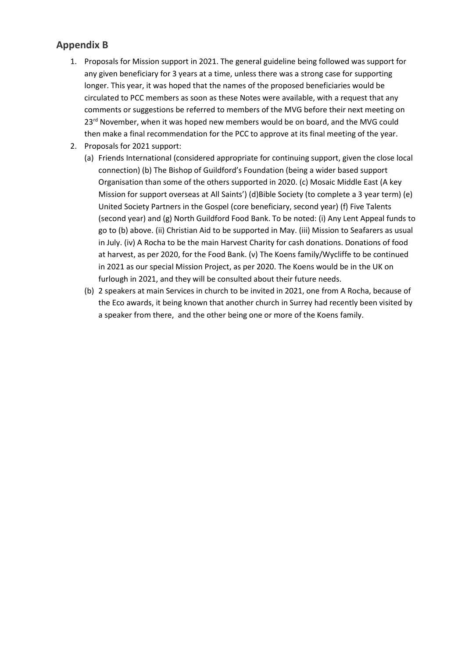## **Appendix B**

- 1. Proposals for Mission support in 2021. The general guideline being followed was support for any given beneficiary for 3 years at a time, unless there was a strong case for supporting longer. This year, it was hoped that the names of the proposed beneficiaries would be circulated to PCC members as soon as these Notes were available, with a request that any comments or suggestions be referred to members of the MVG before their next meeting on 23<sup>rd</sup> November, when it was hoped new members would be on board, and the MVG could then make a final recommendation for the PCC to approve at its final meeting of the year.
- 2. Proposals for 2021 support:
	- (a) Friends International (considered appropriate for continuing support, given the close local connection) (b) The Bishop of Guildford's Foundation (being a wider based support Organisation than some of the others supported in 2020. (c) Mosaic Middle East (A key Mission for support overseas at All Saints') (d)Bible Society (to complete a 3 year term) (e) United Society Partners in the Gospel (core beneficiary, second year) (f) Five Talents (second year) and (g) North Guildford Food Bank. To be noted: (i) Any Lent Appeal funds to go to (b) above. (ii) Christian Aid to be supported in May. (iii) Mission to Seafarers as usual in July. (iv) A Rocha to be the main Harvest Charity for cash donations. Donations of food at harvest, as per 2020, for the Food Bank. (v) The Koens family/Wycliffe to be continued in 2021 as our special Mission Project, as per 2020. The Koens would be in the UK on furlough in 2021, and they will be consulted about their future needs.
	- (b) 2 speakers at main Services in church to be invited in 2021, one from A Rocha, because of the Eco awards, it being known that another church in Surrey had recently been visited by a speaker from there, and the other being one or more of the Koens family.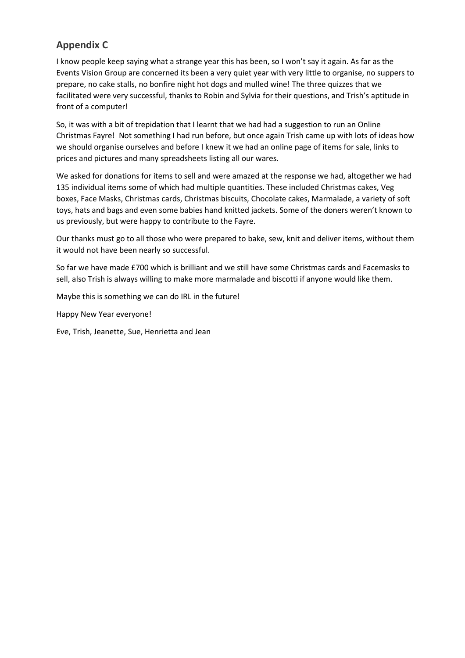## **Appendix C**

I know people keep saying what a strange year this has been, so I won't say it again. As far as the Events Vision Group are concerned its been a very quiet year with very little to organise, no suppers to prepare, no cake stalls, no bonfire night hot dogs and mulled wine! The three quizzes that we facilitated were very successful, thanks to Robin and Sylvia for their questions, and Trish's aptitude in front of a computer!

So, it was with a bit of trepidation that I learnt that we had had a suggestion to run an Online Christmas Fayre! Not something I had run before, but once again Trish came up with lots of ideas how we should organise ourselves and before I knew it we had an online page of items for sale, links to prices and pictures and many spreadsheets listing all our wares.

We asked for donations for items to sell and were amazed at the response we had, altogether we had 135 individual items some of which had multiple quantities. These included Christmas cakes, Veg boxes, Face Masks, Christmas cards, Christmas biscuits, Chocolate cakes, Marmalade, a variety of soft toys, hats and bags and even some babies hand knitted jackets. Some of the doners weren't known to us previously, but were happy to contribute to the Fayre.

Our thanks must go to all those who were prepared to bake, sew, knit and deliver items, without them it would not have been nearly so successful.

So far we have made £700 which is brilliant and we still have some Christmas cards and Facemasks to sell, also Trish is always willing to make more marmalade and biscotti if anyone would like them.

Maybe this is something we can do IRL in the future!

Happy New Year everyone!

Eve, Trish, Jeanette, Sue, Henrietta and Jean